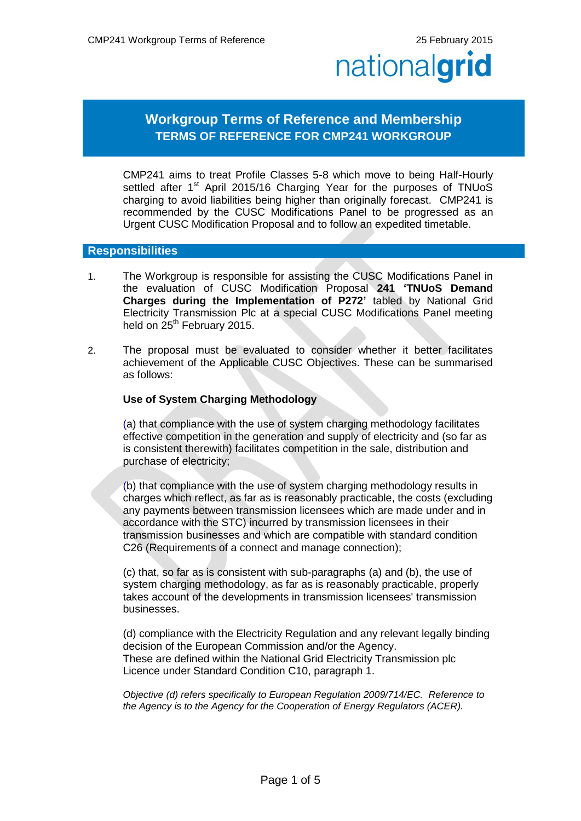# **Workgroup Terms of Reference and Membership TERMS OF REFERENCE FOR CMP241 WORKGROUP**

CMP241 aims to treat Profile Classes 5-8 which move to being Half-Hourly settled after 1<sup>st</sup> April 2015/16 Charging Year for the purposes of TNUoS charging to avoid liabilities being higher than originally forecast. CMP241 is recommended by the CUSC Modifications Panel to be progressed as an Urgent CUSC Modification Proposal and to follow an expedited timetable.

#### **Responsibilities**

- 1. The Workgroup is responsible for assisting the CUSC Modifications Panel in the evaluation of CUSC Modification Proposal **241 'TNUoS Demand Charges during the Implementation of P272'** tabled by National Grid Electricity Transmission Plc at a special CUSC Modifications Panel meeting held on  $25<sup>th</sup>$  February 2015.
- 2. The proposal must be evaluated to consider whether it better facilitates achievement of the Applicable CUSC Objectives. These can be summarised as follows:

#### **Use of System Charging Methodology**

(a) that compliance with the use of system charging methodology facilitates effective competition in the generation and supply of electricity and (so far as is consistent therewith) facilitates competition in the sale, distribution and purchase of electricity;

(b) that compliance with the use of system charging methodology results in charges which reflect, as far as is reasonably practicable, the costs (excluding any payments between transmission licensees which are made under and in accordance with the STC) incurred by transmission licensees in their transmission businesses and which are compatible with standard condition C26 (Requirements of a connect and manage connection);

(c) that, so far as is consistent with sub-paragraphs (a) and (b), the use of system charging methodology, as far as is reasonably practicable, properly takes account of the developments in transmission licensees' transmission businesses.

(d) compliance with the Electricity Regulation and any relevant legally binding decision of the European Commission and/or the Agency. These are defined within the National Grid Electricity Transmission plc Licence under Standard Condition C10, paragraph 1.

*Objective (d) refers specifically to European Regulation 2009/714/EC. Reference to the Agency is to the Agency for the Cooperation of Energy Regulators (ACER).*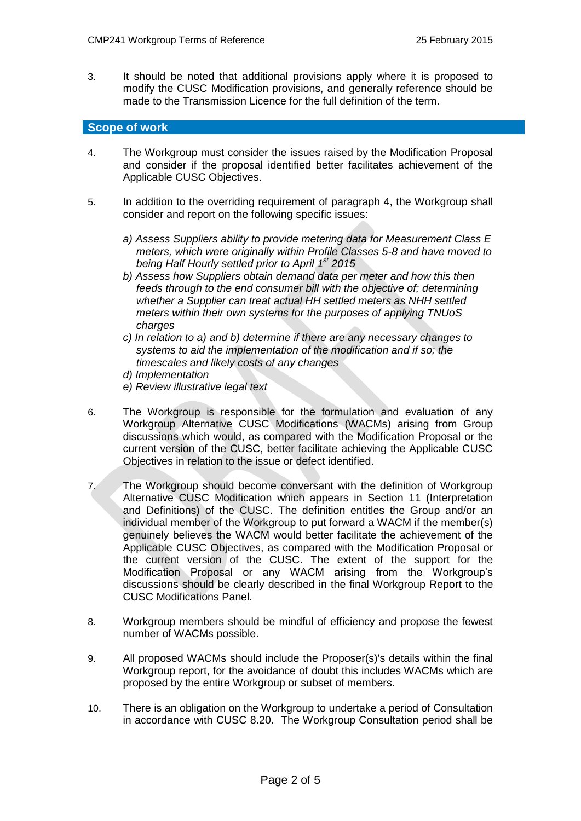3. It should be noted that additional provisions apply where it is proposed to modify the CUSC Modification provisions, and generally reference should be made to the Transmission Licence for the full definition of the term.

### **Scope of work**

- 4. The Workgroup must consider the issues raised by the Modification Proposal and consider if the proposal identified better facilitates achievement of the Applicable CUSC Objectives.
- 5. In addition to the overriding requirement of paragraph 4, the Workgroup shall consider and report on the following specific issues:
	- *a) Assess Suppliers ability to provide metering data for Measurement Class E meters, which were originally within Profile Classes 5-8 and have moved to being Half Hourly settled prior to April 1 st 2015*
	- *b) Assess how Suppliers obtain demand data per meter and how this then feeds through to the end consumer bill with the objective of; determining whether a Supplier can treat actual HH settled meters as NHH settled meters within their own systems for the purposes of applying TNUoS charges*
	- *c) In relation to a) and b) determine if there are any necessary changes to systems to aid the implementation of the modification and if so; the timescales and likely costs of any changes*
	- *d) Implementation*
	- *e) Review illustrative legal text*
- 6. The Workgroup is responsible for the formulation and evaluation of any Workgroup Alternative CUSC Modifications (WACMs) arising from Group discussions which would, as compared with the Modification Proposal or the current version of the CUSC, better facilitate achieving the Applicable CUSC Objectives in relation to the issue or defect identified.
- 7. The Workgroup should become conversant with the definition of Workgroup Alternative CUSC Modification which appears in Section 11 (Interpretation and Definitions) of the CUSC. The definition entitles the Group and/or an individual member of the Workgroup to put forward a WACM if the member(s) genuinely believes the WACM would better facilitate the achievement of the Applicable CUSC Objectives, as compared with the Modification Proposal or the current version of the CUSC. The extent of the support for the Modification Proposal or any WACM arising from the Workgroup's discussions should be clearly described in the final Workgroup Report to the CUSC Modifications Panel.
- 8. Workgroup members should be mindful of efficiency and propose the fewest number of WACMs possible.
- 9. All proposed WACMs should include the Proposer(s)'s details within the final Workgroup report, for the avoidance of doubt this includes WACMs which are proposed by the entire Workgroup or subset of members.
- 10. There is an obligation on the Workgroup to undertake a period of Consultation in accordance with CUSC 8.20. The Workgroup Consultation period shall be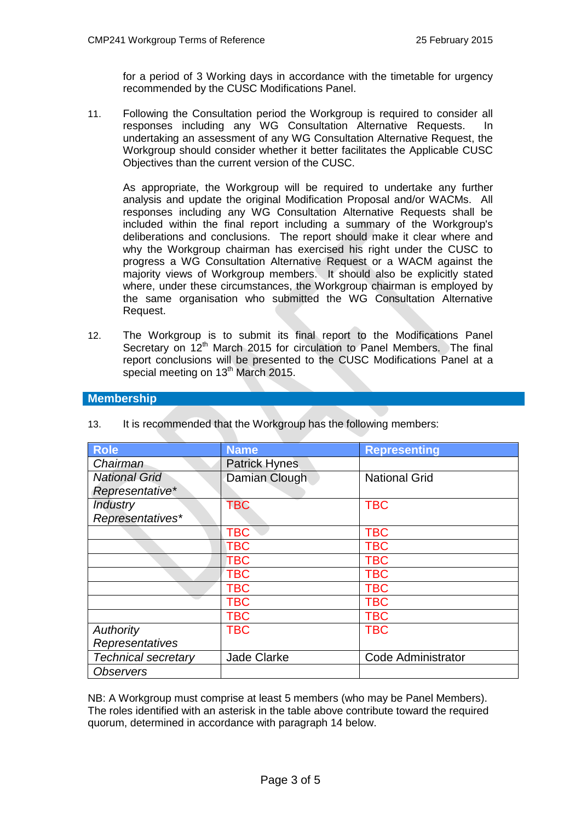for a period of 3 Working days in accordance with the timetable for urgency recommended by the CUSC Modifications Panel.

11. Following the Consultation period the Workgroup is required to consider all responses including any WG Consultation Alternative Requests. In undertaking an assessment of any WG Consultation Alternative Request, the Workgroup should consider whether it better facilitates the Applicable CUSC Objectives than the current version of the CUSC.

As appropriate, the Workgroup will be required to undertake any further analysis and update the original Modification Proposal and/or WACMs. All responses including any WG Consultation Alternative Requests shall be included within the final report including a summary of the Workgroup's deliberations and conclusions. The report should make it clear where and why the Workgroup chairman has exercised his right under the CUSC to progress a WG Consultation Alternative Request or a WACM against the majority views of Workgroup members. It should also be explicitly stated where, under these circumstances, the Workgroup chairman is employed by the same organisation who submitted the WG Consultation Alternative Request.

12. The Workgroup is to submit its final report to the Modifications Panel Secretary on 12<sup>th</sup> March 2015 for circulation to Panel Members. The final report conclusions will be presented to the CUSC Modifications Panel at a special meeting on 13<sup>th</sup> March 2015.

## **Membership**

| <b>Role</b>                | <b>Name</b>        | <b>Representing</b>  |
|----------------------------|--------------------|----------------------|
| Chairman                   | Patrick Hynes      |                      |
| <b>National Grid</b>       | Damian Clough      | <b>National Grid</b> |
| Representative*            |                    |                      |
| <b>Industry</b>            | <b>TBC</b>         | <b>TBC</b>           |
| Representatives*           |                    |                      |
|                            | <b>TBC</b>         | <b>TBC</b>           |
|                            | <b>TBC</b>         | <b>TBC</b>           |
|                            | <b>TBC</b>         | <b>TBC</b>           |
|                            | <b>TBC</b>         | <b>TBC</b>           |
|                            | <b>TBC</b>         | <b>TBC</b>           |
|                            | <b>TBC</b>         | <b>TBC</b>           |
|                            | <b>TBC</b>         | <b>TBC</b>           |
| Authority                  | <b>TBC</b>         | <b>TBC</b>           |
| Representatives            |                    |                      |
| <b>Technical secretary</b> | <b>Jade Clarke</b> | Code Administrator   |
| <b>Observers</b>           |                    |                      |

13. It is recommended that the Workgroup has the following members:

NB: A Workgroup must comprise at least 5 members (who may be Panel Members). The roles identified with an asterisk in the table above contribute toward the required quorum, determined in accordance with paragraph 14 below.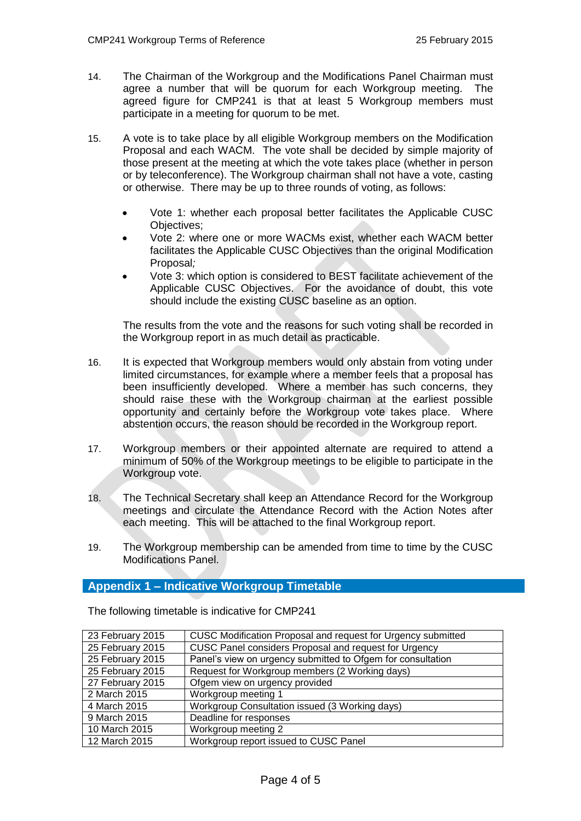- 14. The Chairman of the Workgroup and the Modifications Panel Chairman must agree a number that will be quorum for each Workgroup meeting. The agreed figure for CMP241 is that at least 5 Workgroup members must participate in a meeting for quorum to be met.
- 15. A vote is to take place by all eligible Workgroup members on the Modification Proposal and each WACM. The vote shall be decided by simple majority of those present at the meeting at which the vote takes place (whether in person or by teleconference). The Workgroup chairman shall not have a vote, casting or otherwise. There may be up to three rounds of voting, as follows:
	- Vote 1: whether each proposal better facilitates the Applicable CUSC Objectives;
	- Vote 2: where one or more WACMs exist, whether each WACM better facilitates the Applicable CUSC Objectives than the original Modification Proposal*;*
	- Vote 3: which option is considered to BEST facilitate achievement of the Applicable CUSC Objectives. For the avoidance of doubt, this vote should include the existing CUSC baseline as an option.

The results from the vote and the reasons for such voting shall be recorded in the Workgroup report in as much detail as practicable.

- 16. It is expected that Workgroup members would only abstain from voting under limited circumstances, for example where a member feels that a proposal has been insufficiently developed. Where a member has such concerns, they should raise these with the Workgroup chairman at the earliest possible opportunity and certainly before the Workgroup vote takes place. Where abstention occurs, the reason should be recorded in the Workgroup report.
- 17. Workgroup members or their appointed alternate are required to attend a minimum of 50% of the Workgroup meetings to be eligible to participate in the Workgroup vote.
- 18. The Technical Secretary shall keep an Attendance Record for the Workgroup meetings and circulate the Attendance Record with the Action Notes after each meeting. This will be attached to the final Workgroup report.
- 19. The Workgroup membership can be amended from time to time by the CUSC Modifications Panel.

# **Appendix 1 – Indicative Workgroup Timetable**

23 February 2015 | CUSC Modification Proposal and request for Urgency submitted 25 February 2015 CUSC Panel considers Proposal and request for Urgency 25 February 2015 Panel's view on urgency submitted to Ofgem for consultation 25 February 2015 | Request for Workgroup members (2 Working days) 27 February 2015 Ofgem view on urgency provided 2 March 2015 Workgroup meeting 1 4 March 2015 Workgroup Consultation issued (3 Working days) 9 March 2015 **Deadline for responses** 10 March 2015 Workgroup meeting 2 12 March 2015 Workgroup report issued to CUSC Panel

The following timetable is indicative for CMP241